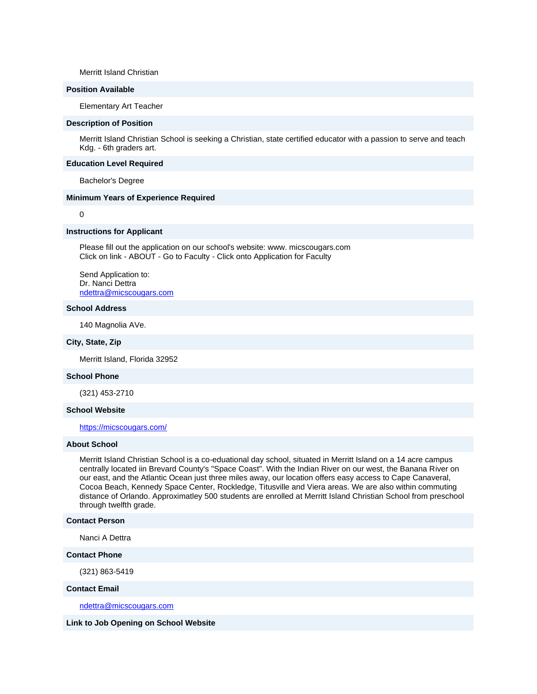Merritt Island Christian

# **Position Available**

Elementary Art Teacher

#### **Description of Position**

Merritt Island Christian School is seeking a Christian, state certified educator with a passion to serve and teach Kdg. - 6th graders art.

#### **Education Level Required**

Bachelor's Degree

## **Minimum Years of Experience Required**

0

### **Instructions for Applicant**

Please fill out the application on our school's website: www. micscougars.com Click on link - ABOUT - Go to Faculty - Click onto Application for Faculty

Send Application to: Dr. Nanci Dettra [ndettra@micscougars.com](mailto:ndettra@micscougars.com)

### **School Address**

140 Magnolia AVe.

### **City, State, Zip**

Merritt Island, Florida 32952

### **School Phone**

(321) 453-2710

## **School Website**

[https://micscougars.com/](http://email.nacschools-org.nsmail1.com/c/eJxVzTkOwyAURdHVmC4IPoNxQZEm-8AfMEgMETj7DykjveoV53orDy0wkGyBATABwBWTIKhxzqGJPEgwApFvkjWHE1PvZT76uGib1eXCKfZKklVKg2FGRs7ZHs9zOV6HsHutDhWMJ8Wm-37PTTw3eK3VvLT-udyYP2I9ZNjcYv8r0VX6Ano9MpI)

#### **About School**

Merritt Island Christian School is a co-eduational day school, situated in Merritt Island on a 14 acre campus centrally located iin Brevard County's "Space Coast". With the Indian River on our west, the Banana River on our east, and the Atlantic Ocean just three miles away, our location offers easy access to Cape Canaveral, Cocoa Beach, Kennedy Space Center, Rockledge, Titusville and Viera areas. We are also within commuting distance of Orlando. Approximatley 500 students are enrolled at Merritt Island Christian School from preschool through twelfth grade.

## **Contact Person**

Nanci A Dettra

## **Contact Phone**

(321) 863-5419

#### **Contact Email**

[ndettra@micscougars.com](mailto:ndettra@micscougars.com)

**Link to Job Opening on School Website**